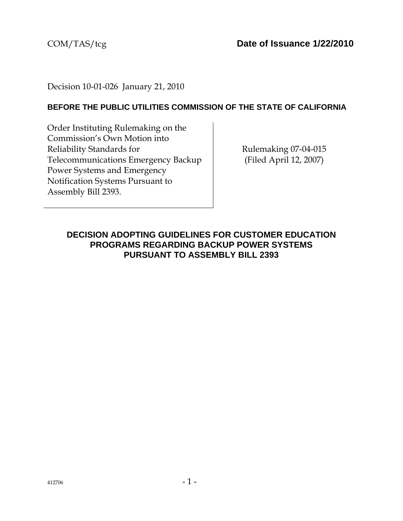Decision 10-01-026 January 21, 2010

## **BEFORE THE PUBLIC UTILITIES COMMISSION OF THE STATE OF CALIFORNIA**

Order Instituting Rulemaking on the Commission's Own Motion into Reliability Standards for Telecommunications Emergency Backup Power Systems and Emergency Notification Systems Pursuant to Assembly Bill 2393.

Rulemaking 07-04-015 (Filed April 12, 2007)

## **DECISION ADOPTING GUIDELINES FOR CUSTOMER EDUCATION PROGRAMS REGARDING BACKUP POWER SYSTEMS PURSUANT TO ASSEMBLY BILL 2393**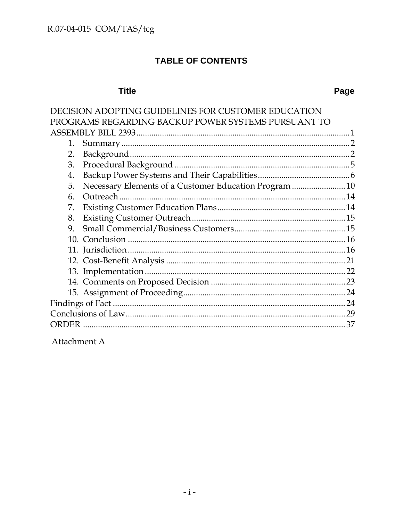# TABLE OF CONTENTS

# **Title**

| DECISION ADOPTING GUIDELINES FOR CUSTOMER EDUCATION         |     |
|-------------------------------------------------------------|-----|
| PROGRAMS REGARDING BACKUP POWER SYSTEMS PURSUANT TO         |     |
|                                                             |     |
| 1.                                                          |     |
| 2.                                                          |     |
| 3.                                                          |     |
| 4.                                                          |     |
| Necessary Elements of a Customer Education Program 10<br>5. |     |
| 6.                                                          |     |
| 7.                                                          |     |
| 8.                                                          |     |
| 9.                                                          |     |
|                                                             |     |
|                                                             |     |
|                                                             |     |
|                                                             |     |
|                                                             |     |
|                                                             |     |
|                                                             |     |
|                                                             |     |
| ORDER                                                       | .37 |
|                                                             |     |

Attachment A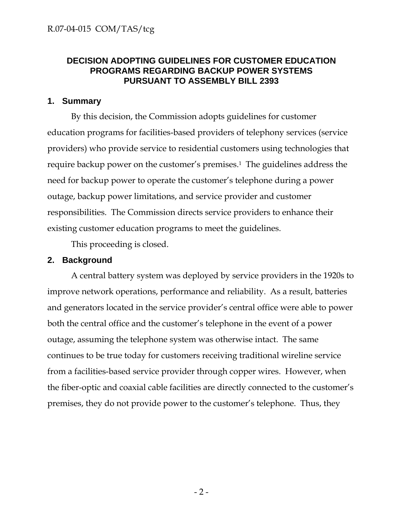## **DECISION ADOPTING GUIDELINES FOR CUSTOMER EDUCATION PROGRAMS REGARDING BACKUP POWER SYSTEMS PURSUANT TO ASSEMBLY BILL 2393**

### **1. Summary**

By this decision, the Commission adopts guidelines for customer education programs for facilities-based providers of telephony services (service providers) who provide service to residential customers using technologies that require backup power on the customer's premises.1 The guidelines address the need for backup power to operate the customer's telephone during a power outage, backup power limitations, and service provider and customer responsibilities. The Commission directs service providers to enhance their existing customer education programs to meet the guidelines.

This proceeding is closed.

## **2. Background**

A central battery system was deployed by service providers in the 1920s to improve network operations, performance and reliability. As a result, batteries and generators located in the service provider's central office were able to power both the central office and the customer's telephone in the event of a power outage, assuming the telephone system was otherwise intact. The same continues to be true today for customers receiving traditional wireline service from a facilities-based service provider through copper wires. However, when the fiber-optic and coaxial cable facilities are directly connected to the customer's premises, they do not provide power to the customer's telephone. Thus, they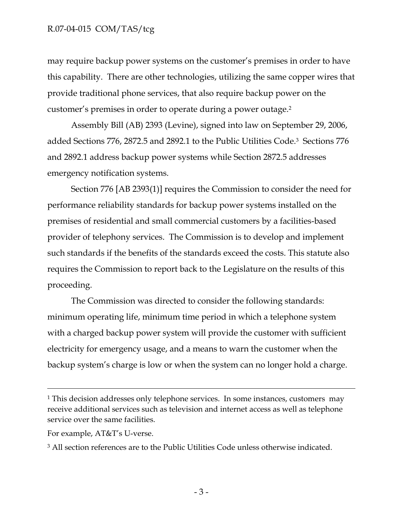may require backup power systems on the customer's premises in order to have this capability. There are other technologies, utilizing the same copper wires that provide traditional phone services, that also require backup power on the customer's premises in order to operate during a power outage.2

Assembly Bill (AB) 2393 (Levine), signed into law on September 29, 2006, added Sections 776, 2872.5 and 2892.1 to the Public Utilities Code.3 Sections 776 and 2892.1 address backup power systems while Section 2872.5 addresses emergency notification systems.

Section 776 [AB 2393(1)] requires the Commission to consider the need for performance reliability standards for backup power systems installed on the premises of residential and small commercial customers by a facilities-based provider of telephony services. The Commission is to develop and implement such standards if the benefits of the standards exceed the costs. This statute also requires the Commission to report back to the Legislature on the results of this proceeding.

The Commission was directed to consider the following standards: minimum operating life, minimum time period in which a telephone system with a charged backup power system will provide the customer with sufficient electricity for emergency usage, and a means to warn the customer when the backup system's charge is low or when the system can no longer hold a charge.

 $\overline{a}$ 

<sup>1</sup> This decision addresses only telephone services. In some instances, customers may receive additional services such as television and internet access as well as telephone service over the same facilities.

For example, AT&T's U-verse.

<sup>3</sup> All section references are to the Public Utilities Code unless otherwise indicated.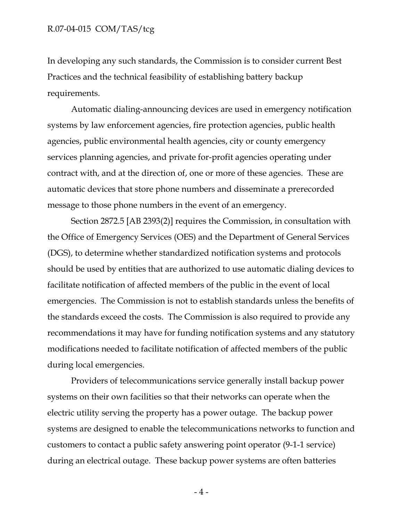In developing any such standards, the Commission is to consider current Best Practices and the technical feasibility of establishing battery backup requirements.

Automatic dialing-announcing devices are used in emergency notification systems by law enforcement agencies, fire protection agencies, public health agencies, public environmental health agencies, city or county emergency services planning agencies, and private for-profit agencies operating under contract with, and at the direction of, one or more of these agencies. These are automatic devices that store phone numbers and disseminate a prerecorded message to those phone numbers in the event of an emergency.

Section 2872.5 [AB 2393(2)] requires the Commission, in consultation with the Office of Emergency Services (OES) and the Department of General Services (DGS), to determine whether standardized notification systems and protocols should be used by entities that are authorized to use automatic dialing devices to facilitate notification of affected members of the public in the event of local emergencies. The Commission is not to establish standards unless the benefits of the standards exceed the costs. The Commission is also required to provide any recommendations it may have for funding notification systems and any statutory modifications needed to facilitate notification of affected members of the public during local emergencies.

Providers of telecommunications service generally install backup power systems on their own facilities so that their networks can operate when the electric utility serving the property has a power outage. The backup power systems are designed to enable the telecommunications networks to function and customers to contact a public safety answering point operator (9-1-1 service) during an electrical outage. These backup power systems are often batteries

 $-4-$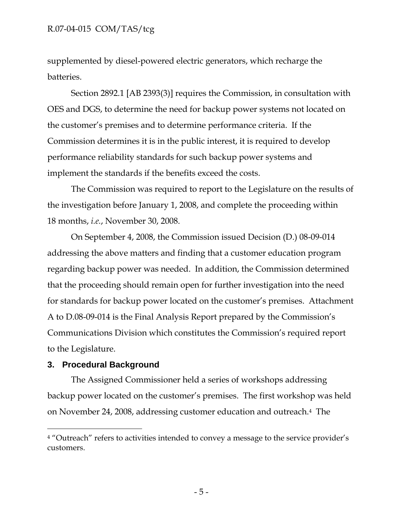supplemented by diesel-powered electric generators, which recharge the batteries.

Section 2892.1 [AB 2393(3)] requires the Commission, in consultation with OES and DGS, to determine the need for backup power systems not located on the customer's premises and to determine performance criteria. If the Commission determines it is in the public interest, it is required to develop performance reliability standards for such backup power systems and implement the standards if the benefits exceed the costs.

The Commission was required to report to the Legislature on the results of the investigation before January 1, 2008, and complete the proceeding within 18 months, *i.e.*, November 30, 2008.

On September 4, 2008, the Commission issued Decision (D.) 08-09-014 addressing the above matters and finding that a customer education program regarding backup power was needed. In addition, the Commission determined that the proceeding should remain open for further investigation into the need for standards for backup power located on the customer's premises. Attachment A to D.08-09-014 is the Final Analysis Report prepared by the Commission's Communications Division which constitutes the Commission's required report to the Legislature.

### **3. Procedural Background**

 $\overline{a}$ 

The Assigned Commissioner held a series of workshops addressing backup power located on the customer's premises. The first workshop was held on November 24, 2008, addressing customer education and outreach.4 The

<sup>&</sup>lt;sup>4</sup> "Outreach" refers to activities intended to convey a message to the service provider's customers.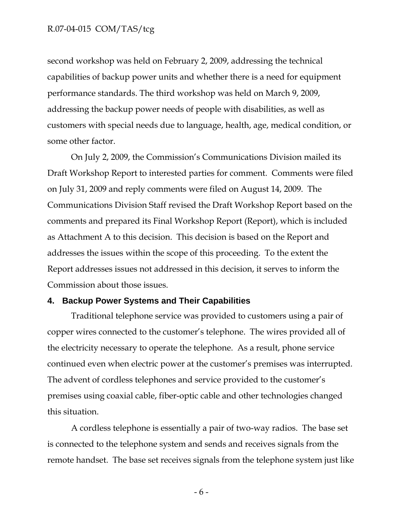second workshop was held on February 2, 2009, addressing the technical capabilities of backup power units and whether there is a need for equipment performance standards. The third workshop was held on March 9, 2009, addressing the backup power needs of people with disabilities, as well as customers with special needs due to language, health, age, medical condition, or some other factor.

On July 2, 2009, the Commission's Communications Division mailed its Draft Workshop Report to interested parties for comment. Comments were filed on July 31, 2009 and reply comments were filed on August 14, 2009. The Communications Division Staff revised the Draft Workshop Report based on the comments and prepared its Final Workshop Report (Report), which is included as Attachment A to this decision. This decision is based on the Report and addresses the issues within the scope of this proceeding. To the extent the Report addresses issues not addressed in this decision, it serves to inform the Commission about those issues.

#### **4. Backup Power Systems and Their Capabilities**

Traditional telephone service was provided to customers using a pair of copper wires connected to the customer's telephone. The wires provided all of the electricity necessary to operate the telephone. As a result, phone service continued even when electric power at the customer's premises was interrupted. The advent of cordless telephones and service provided to the customer's premises using coaxial cable, fiber-optic cable and other technologies changed this situation.

A cordless telephone is essentially a pair of two-way radios. The base set is connected to the telephone system and sends and receives signals from the remote handset. The base set receives signals from the telephone system just like

- 6 -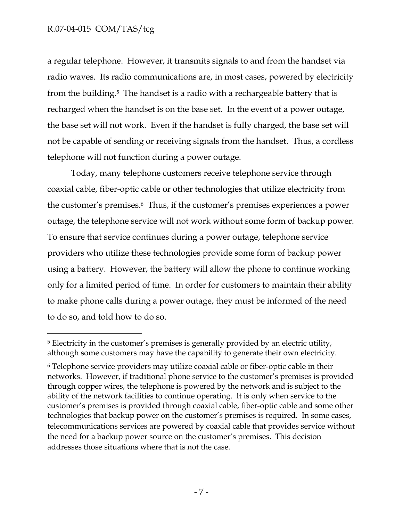-

a regular telephone. However, it transmits signals to and from the handset via radio waves. Its radio communications are, in most cases, powered by electricity from the building.5 The handset is a radio with a rechargeable battery that is recharged when the handset is on the base set. In the event of a power outage, the base set will not work. Even if the handset is fully charged, the base set will not be capable of sending or receiving signals from the handset. Thus, a cordless telephone will not function during a power outage.

Today, many telephone customers receive telephone service through coaxial cable, fiber-optic cable or other technologies that utilize electricity from the customer's premises.6 Thus, if the customer's premises experiences a power outage, the telephone service will not work without some form of backup power. To ensure that service continues during a power outage, telephone service providers who utilize these technologies provide some form of backup power using a battery. However, the battery will allow the phone to continue working only for a limited period of time. In order for customers to maintain their ability to make phone calls during a power outage, they must be informed of the need to do so, and told how to do so.

<sup>5</sup> Electricity in the customer's premises is generally provided by an electric utility, although some customers may have the capability to generate their own electricity.

<sup>6</sup> Telephone service providers may utilize coaxial cable or fiber-optic cable in their networks. However, if traditional phone service to the customer's premises is provided through copper wires, the telephone is powered by the network and is subject to the ability of the network facilities to continue operating. It is only when service to the customer's premises is provided through coaxial cable, fiber-optic cable and some other technologies that backup power on the customer's premises is required. In some cases, telecommunications services are powered by coaxial cable that provides service without the need for a backup power source on the customer's premises. This decision addresses those situations where that is not the case.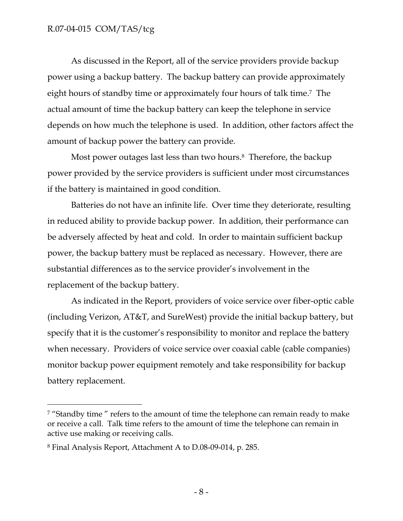As discussed in the Report, all of the service providers provide backup power using a backup battery. The backup battery can provide approximately eight hours of standby time or approximately four hours of talk time.7 The actual amount of time the backup battery can keep the telephone in service depends on how much the telephone is used. In addition, other factors affect the amount of backup power the battery can provide.

Most power outages last less than two hours.<sup>8</sup> Therefore, the backup power provided by the service providers is sufficient under most circumstances if the battery is maintained in good condition.

Batteries do not have an infinite life. Over time they deteriorate, resulting in reduced ability to provide backup power. In addition, their performance can be adversely affected by heat and cold. In order to maintain sufficient backup power, the backup battery must be replaced as necessary. However, there are substantial differences as to the service provider's involvement in the replacement of the backup battery.

As indicated in the Report, providers of voice service over fiber-optic cable (including Verizon, AT&T, and SureWest) provide the initial backup battery, but specify that it is the customer's responsibility to monitor and replace the battery when necessary. Providers of voice service over coaxial cable (cable companies) monitor backup power equipment remotely and take responsibility for backup battery replacement.

 $\overline{a}$ 

<sup>&</sup>lt;sup>7</sup> "Standby time" refers to the amount of time the telephone can remain ready to make or receive a call. Talk time refers to the amount of time the telephone can remain in active use making or receiving calls.

<sup>8</sup> Final Analysis Report, Attachment A to D.08-09-014, p. 285.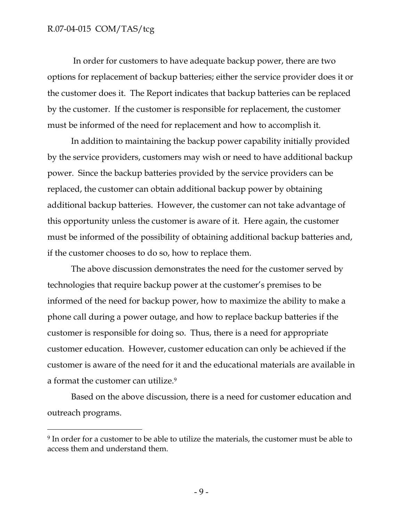-

 In order for customers to have adequate backup power, there are two options for replacement of backup batteries; either the service provider does it or the customer does it. The Report indicates that backup batteries can be replaced by the customer. If the customer is responsible for replacement, the customer must be informed of the need for replacement and how to accomplish it.

In addition to maintaining the backup power capability initially provided by the service providers, customers may wish or need to have additional backup power. Since the backup batteries provided by the service providers can be replaced, the customer can obtain additional backup power by obtaining additional backup batteries. However, the customer can not take advantage of this opportunity unless the customer is aware of it. Here again, the customer must be informed of the possibility of obtaining additional backup batteries and, if the customer chooses to do so, how to replace them.

The above discussion demonstrates the need for the customer served by technologies that require backup power at the customer's premises to be informed of the need for backup power, how to maximize the ability to make a phone call during a power outage, and how to replace backup batteries if the customer is responsible for doing so. Thus, there is a need for appropriate customer education. However, customer education can only be achieved if the customer is aware of the need for it and the educational materials are available in a format the customer can utilize.<sup>9</sup>

Based on the above discussion, there is a need for customer education and outreach programs.

<sup>&</sup>lt;sup>9</sup> In order for a customer to be able to utilize the materials, the customer must be able to access them and understand them.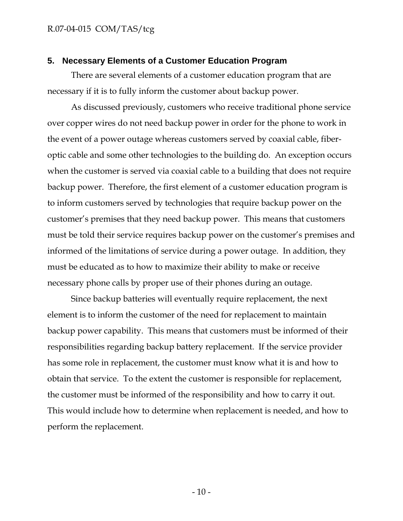#### **5. Necessary Elements of a Customer Education Program**

There are several elements of a customer education program that are necessary if it is to fully inform the customer about backup power.

As discussed previously, customers who receive traditional phone service over copper wires do not need backup power in order for the phone to work in the event of a power outage whereas customers served by coaxial cable, fiberoptic cable and some other technologies to the building do. An exception occurs when the customer is served via coaxial cable to a building that does not require backup power. Therefore, the first element of a customer education program is to inform customers served by technologies that require backup power on the customer's premises that they need backup power. This means that customers must be told their service requires backup power on the customer's premises and informed of the limitations of service during a power outage. In addition, they must be educated as to how to maximize their ability to make or receive necessary phone calls by proper use of their phones during an outage.

Since backup batteries will eventually require replacement, the next element is to inform the customer of the need for replacement to maintain backup power capability. This means that customers must be informed of their responsibilities regarding backup battery replacement. If the service provider has some role in replacement, the customer must know what it is and how to obtain that service. To the extent the customer is responsible for replacement, the customer must be informed of the responsibility and how to carry it out. This would include how to determine when replacement is needed, and how to perform the replacement.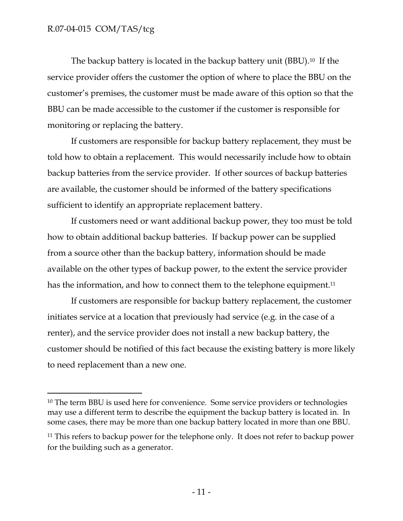-

The backup battery is located in the backup battery unit (BBU).10 If the service provider offers the customer the option of where to place the BBU on the customer's premises, the customer must be made aware of this option so that the BBU can be made accessible to the customer if the customer is responsible for monitoring or replacing the battery.

If customers are responsible for backup battery replacement, they must be told how to obtain a replacement. This would necessarily include how to obtain backup batteries from the service provider. If other sources of backup batteries are available, the customer should be informed of the battery specifications sufficient to identify an appropriate replacement battery.

If customers need or want additional backup power, they too must be told how to obtain additional backup batteries. If backup power can be supplied from a source other than the backup battery, information should be made available on the other types of backup power, to the extent the service provider has the information, and how to connect them to the telephone equipment.<sup>11</sup>

If customers are responsible for backup battery replacement, the customer initiates service at a location that previously had service (e.g. in the case of a renter), and the service provider does not install a new backup battery, the customer should be notified of this fact because the existing battery is more likely to need replacement than a new one.

<sup>10</sup> The term BBU is used here for convenience. Some service providers or technologies may use a different term to describe the equipment the backup battery is located in. In some cases, there may be more than one backup battery located in more than one BBU.

<sup>&</sup>lt;sup>11</sup> This refers to backup power for the telephone only. It does not refer to backup power for the building such as a generator.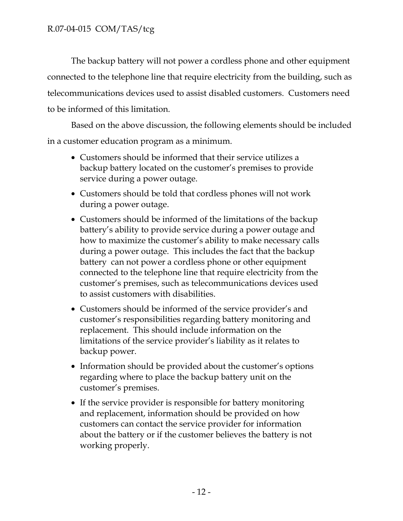The backup battery will not power a cordless phone and other equipment connected to the telephone line that require electricity from the building, such as telecommunications devices used to assist disabled customers. Customers need to be informed of this limitation.

Based on the above discussion, the following elements should be included in a customer education program as a minimum.

- Customers should be informed that their service utilizes a backup battery located on the customer's premises to provide service during a power outage.
- Customers should be told that cordless phones will not work during a power outage.
- Customers should be informed of the limitations of the backup battery's ability to provide service during a power outage and how to maximize the customer's ability to make necessary calls during a power outage. This includes the fact that the backup battery can not power a cordless phone or other equipment connected to the telephone line that require electricity from the customer's premises, such as telecommunications devices used to assist customers with disabilities.
- Customers should be informed of the service provider's and customer's responsibilities regarding battery monitoring and replacement. This should include information on the limitations of the service provider's liability as it relates to backup power.
- Information should be provided about the customer's options regarding where to place the backup battery unit on the customer's premises.
- If the service provider is responsible for battery monitoring and replacement, information should be provided on how customers can contact the service provider for information about the battery or if the customer believes the battery is not working properly.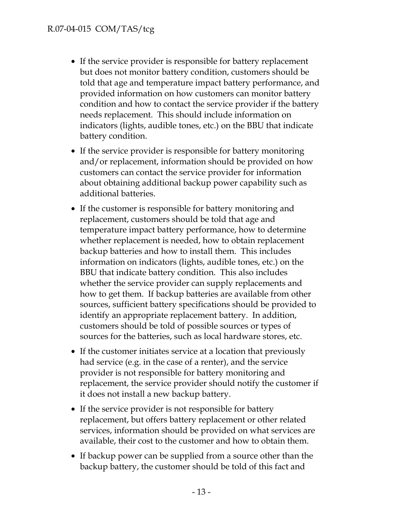- If the service provider is responsible for battery replacement but does not monitor battery condition, customers should be told that age and temperature impact battery performance, and provided information on how customers can monitor battery condition and how to contact the service provider if the battery needs replacement. This should include information on indicators (lights, audible tones, etc.) on the BBU that indicate battery condition.
- If the service provider is responsible for battery monitoring and/or replacement, information should be provided on how customers can contact the service provider for information about obtaining additional backup power capability such as additional batteries.
- If the customer is responsible for battery monitoring and replacement, customers should be told that age and temperature impact battery performance, how to determine whether replacement is needed, how to obtain replacement backup batteries and how to install them. This includes information on indicators (lights, audible tones, etc.) on the BBU that indicate battery condition. This also includes whether the service provider can supply replacements and how to get them. If backup batteries are available from other sources, sufficient battery specifications should be provided to identify an appropriate replacement battery. In addition, customers should be told of possible sources or types of sources for the batteries, such as local hardware stores, etc.
- If the customer initiates service at a location that previously had service (e.g. in the case of a renter), and the service provider is not responsible for battery monitoring and replacement, the service provider should notify the customer if it does not install a new backup battery.
- If the service provider is not responsible for battery replacement, but offers battery replacement or other related services, information should be provided on what services are available, their cost to the customer and how to obtain them.
- If backup power can be supplied from a source other than the backup battery, the customer should be told of this fact and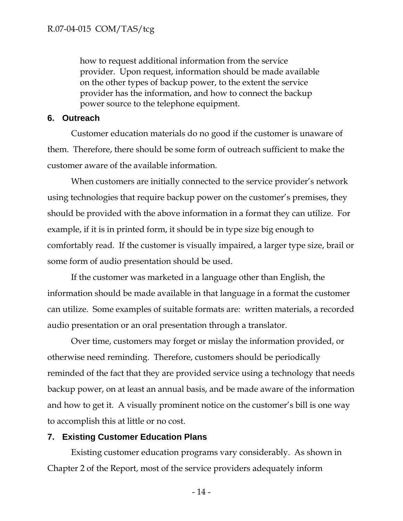how to request additional information from the service provider. Upon request, information should be made available on the other types of backup power, to the extent the service provider has the information, and how to connect the backup power source to the telephone equipment.

### **6. Outreach**

Customer education materials do no good if the customer is unaware of them. Therefore, there should be some form of outreach sufficient to make the customer aware of the available information.

When customers are initially connected to the service provider's network using technologies that require backup power on the customer's premises, they should be provided with the above information in a format they can utilize. For example, if it is in printed form, it should be in type size big enough to comfortably read. If the customer is visually impaired, a larger type size, brail or some form of audio presentation should be used.

If the customer was marketed in a language other than English, the information should be made available in that language in a format the customer can utilize. Some examples of suitable formats are: written materials, a recorded audio presentation or an oral presentation through a translator.

Over time, customers may forget or mislay the information provided, or otherwise need reminding. Therefore, customers should be periodically reminded of the fact that they are provided service using a technology that needs backup power, on at least an annual basis, and be made aware of the information and how to get it. A visually prominent notice on the customer's bill is one way to accomplish this at little or no cost.

### **7. Existing Customer Education Plans**

Existing customer education programs vary considerably. As shown in Chapter 2 of the Report, most of the service providers adequately inform

- 14 -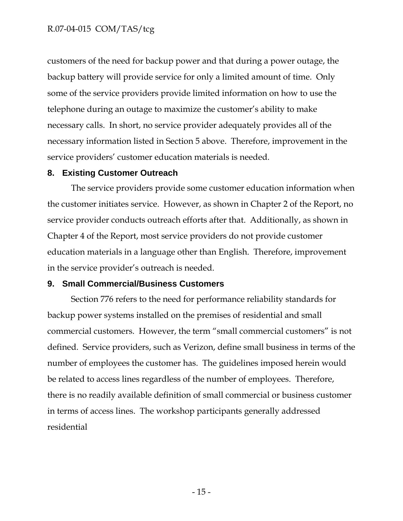customers of the need for backup power and that during a power outage, the backup battery will provide service for only a limited amount of time. Only some of the service providers provide limited information on how to use the telephone during an outage to maximize the customer's ability to make necessary calls. In short, no service provider adequately provides all of the necessary information listed in Section 5 above. Therefore, improvement in the service providers' customer education materials is needed.

### **8. Existing Customer Outreach**

The service providers provide some customer education information when the customer initiates service. However, as shown in Chapter 2 of the Report, no service provider conducts outreach efforts after that. Additionally, as shown in Chapter 4 of the Report, most service providers do not provide customer education materials in a language other than English. Therefore, improvement in the service provider's outreach is needed.

### **9. Small Commercial/Business Customers**

Section 776 refers to the need for performance reliability standards for backup power systems installed on the premises of residential and small commercial customers. However, the term "small commercial customers" is not defined. Service providers, such as Verizon, define small business in terms of the number of employees the customer has. The guidelines imposed herein would be related to access lines regardless of the number of employees. Therefore, there is no readily available definition of small commercial or business customer in terms of access lines. The workshop participants generally addressed residential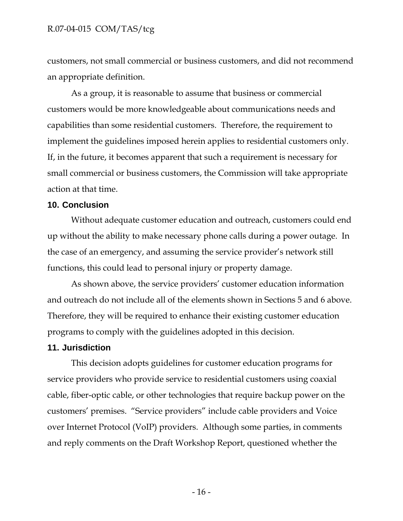customers, not small commercial or business customers, and did not recommend an appropriate definition.

As a group, it is reasonable to assume that business or commercial customers would be more knowledgeable about communications needs and capabilities than some residential customers. Therefore, the requirement to implement the guidelines imposed herein applies to residential customers only. If, in the future, it becomes apparent that such a requirement is necessary for small commercial or business customers, the Commission will take appropriate action at that time.

#### **10. Conclusion**

Without adequate customer education and outreach, customers could end up without the ability to make necessary phone calls during a power outage. In the case of an emergency, and assuming the service provider's network still functions, this could lead to personal injury or property damage.

As shown above, the service providers' customer education information and outreach do not include all of the elements shown in Sections 5 and 6 above. Therefore, they will be required to enhance their existing customer education programs to comply with the guidelines adopted in this decision.

#### **11. Jurisdiction**

This decision adopts guidelines for customer education programs for service providers who provide service to residential customers using coaxial cable, fiber-optic cable, or other technologies that require backup power on the customers' premises. "Service providers" include cable providers and Voice over Internet Protocol (VoIP) providers. Although some parties, in comments and reply comments on the Draft Workshop Report, questioned whether the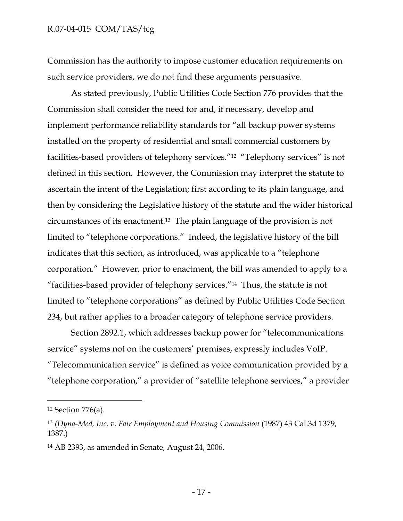Commission has the authority to impose customer education requirements on such service providers, we do not find these arguments persuasive.

As stated previously, Public Utilities Code Section 776 provides that the Commission shall consider the need for and, if necessary, develop and implement performance reliability standards for "all backup power systems installed on the property of residential and small commercial customers by facilities-based providers of telephony services."12 "Telephony services" is not defined in this section. However, the Commission may interpret the statute to ascertain the intent of the Legislation; first according to its plain language, and then by considering the Legislative history of the statute and the wider historical circumstances of its enactment.13 The plain language of the provision is not limited to "telephone corporations." Indeed, the legislative history of the bill indicates that this section, as introduced, was applicable to a "telephone corporation." However, prior to enactment, the bill was amended to apply to a "facilities-based provider of telephony services."14 Thus, the statute is not limited to "telephone corporations" as defined by Public Utilities Code Section 234, but rather applies to a broader category of telephone service providers.

Section 2892.1, which addresses backup power for "telecommunications service" systems not on the customers' premises, expressly includes VoIP. "Telecommunication service" is defined as voice communication provided by a "telephone corporation," a provider of "satellite telephone services," a provider

 $\overline{a}$ 

<sup>12</sup> Section 776(a).

<sup>13</sup> *(Dyna-Med, Inc. v. Fair Employment and Housing Commission* (1987) 43 Cal.3d 1379, 1387.)

<sup>14</sup> AB 2393, as amended in Senate, August 24, 2006.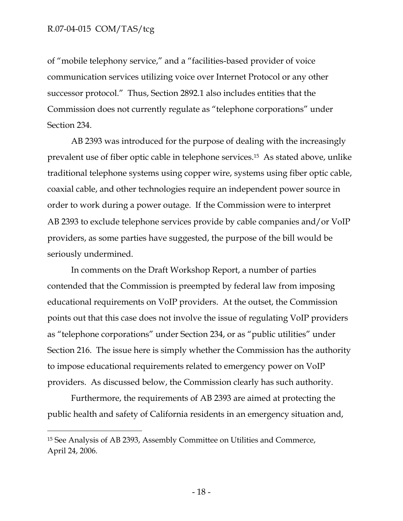-

of "mobile telephony service," and a "facilities-based provider of voice communication services utilizing voice over Internet Protocol or any other successor protocol." Thus, Section 2892.1 also includes entities that the Commission does not currently regulate as "telephone corporations" under Section 234.

AB 2393 was introduced for the purpose of dealing with the increasingly prevalent use of fiber optic cable in telephone services.15 As stated above, unlike traditional telephone systems using copper wire, systems using fiber optic cable, coaxial cable, and other technologies require an independent power source in order to work during a power outage. If the Commission were to interpret AB 2393 to exclude telephone services provide by cable companies and/or VoIP providers, as some parties have suggested, the purpose of the bill would be seriously undermined.

In comments on the Draft Workshop Report, a number of parties contended that the Commission is preempted by federal law from imposing educational requirements on VoIP providers. At the outset, the Commission points out that this case does not involve the issue of regulating VoIP providers as "telephone corporations" under Section 234, or as "public utilities" under Section 216. The issue here is simply whether the Commission has the authority to impose educational requirements related to emergency power on VoIP providers. As discussed below, the Commission clearly has such authority.

Furthermore, the requirements of AB 2393 are aimed at protecting the public health and safety of California residents in an emergency situation and,

<sup>15</sup> See Analysis of AB 2393, Assembly Committee on Utilities and Commerce, April 24, 2006.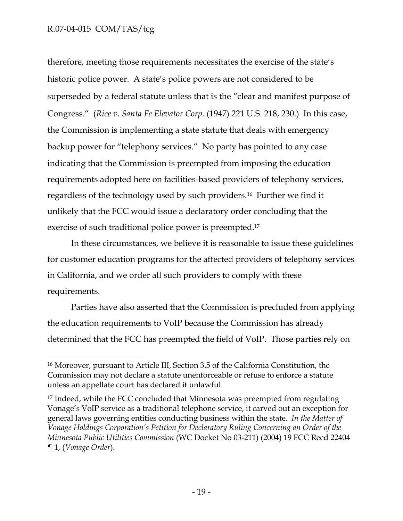-

therefore, meeting those requirements necessitates the exercise of the state's historic police power. A state's police powers are not considered to be superseded by a federal statute unless that is the "clear and manifest purpose of Congress." (*Rice v. Santa Fe Elevator Corp.* (1947) 221 U.S. 218, 230.) In this case, the Commission is implementing a state statute that deals with emergency backup power for "telephony services." No party has pointed to any case indicating that the Commission is preempted from imposing the education requirements adopted here on facilities-based providers of telephony services, regardless of the technology used by such providers.16 Further we find it unlikely that the FCC would issue a declaratory order concluding that the exercise of such traditional police power is preempted.17

In these circumstances, we believe it is reasonable to issue these guidelines for customer education programs for the affected providers of telephony services in California, and we order all such providers to comply with these requirements.

Parties have also asserted that the Commission is precluded from applying the education requirements to VoIP because the Commission has already determined that the FCC has preempted the field of VoIP. Those parties rely on

<sup>16</sup> Moreover, pursuant to Article III, Section 3.5 of the California Constitution, the Commission may not declare a statute unenforceable or refuse to enforce a statute unless an appellate court has declared it unlawful.

<sup>17</sup> Indeed, while the FCC concluded that Minnesota was preempted from regulating Vonage's VoIP service as a traditional telephone service, it carved out an exception for general laws governing entities conducting business within the state. *In the Matter of Vonage Holdings Corporation's Petition for Declaratory Ruling Concerning an Order of the Minnesota Public Utilities Commission* (WC Docket No 03-211) (2004) 19 FCC Recd 22404 ¶ 1, (*Vonage Order*).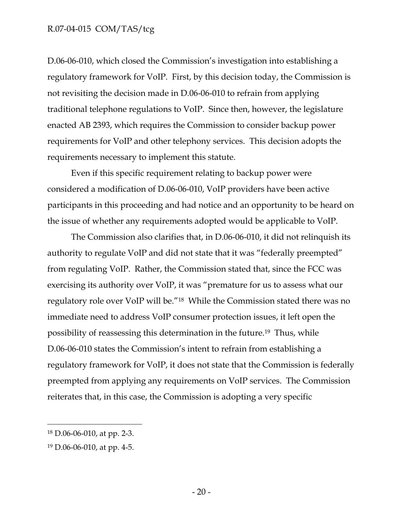D.06-06-010, which closed the Commission's investigation into establishing a regulatory framework for VoIP. First, by this decision today, the Commission is not revisiting the decision made in D.06-06-010 to refrain from applying traditional telephone regulations to VoIP. Since then, however, the legislature enacted AB 2393, which requires the Commission to consider backup power requirements for VoIP and other telephony services. This decision adopts the requirements necessary to implement this statute.

Even if this specific requirement relating to backup power were considered a modification of D.06-06-010, VoIP providers have been active participants in this proceeding and had notice and an opportunity to be heard on the issue of whether any requirements adopted would be applicable to VoIP.

The Commission also clarifies that, in D.06-06-010, it did not relinquish its authority to regulate VoIP and did not state that it was "federally preempted" from regulating VoIP. Rather, the Commission stated that, since the FCC was exercising its authority over VoIP, it was "premature for us to assess what our regulatory role over VoIP will be."18 While the Commission stated there was no immediate need to address VoIP consumer protection issues, it left open the possibility of reassessing this determination in the future.19 Thus, while D.06-06-010 states the Commission's intent to refrain from establishing a regulatory framework for VoIP, it does not state that the Commission is federally preempted from applying any requirements on VoIP services. The Commission reiterates that, in this case, the Commission is adopting a very specific

 $\overline{a}$ 

<sup>18</sup> D.06-06-010, at pp. 2-3.

<sup>19</sup> D.06-06-010, at pp. 4-5.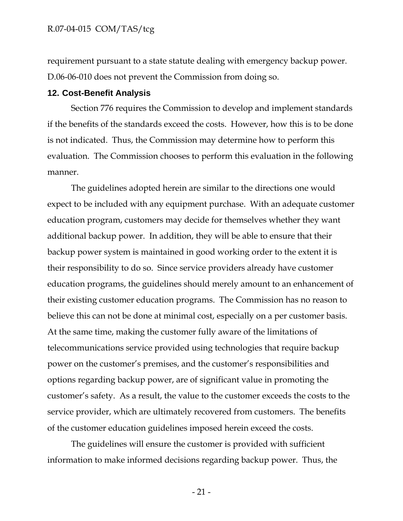requirement pursuant to a state statute dealing with emergency backup power. D.06-06-010 does not prevent the Commission from doing so.

#### **12. Cost-Benefit Analysis**

Section 776 requires the Commission to develop and implement standards if the benefits of the standards exceed the costs. However, how this is to be done is not indicated. Thus, the Commission may determine how to perform this evaluation. The Commission chooses to perform this evaluation in the following manner.

The guidelines adopted herein are similar to the directions one would expect to be included with any equipment purchase. With an adequate customer education program, customers may decide for themselves whether they want additional backup power. In addition, they will be able to ensure that their backup power system is maintained in good working order to the extent it is their responsibility to do so. Since service providers already have customer education programs, the guidelines should merely amount to an enhancement of their existing customer education programs. The Commission has no reason to believe this can not be done at minimal cost, especially on a per customer basis. At the same time, making the customer fully aware of the limitations of telecommunications service provided using technologies that require backup power on the customer's premises, and the customer's responsibilities and options regarding backup power, are of significant value in promoting the customer's safety. As a result, the value to the customer exceeds the costs to the service provider, which are ultimately recovered from customers. The benefits of the customer education guidelines imposed herein exceed the costs.

The guidelines will ensure the customer is provided with sufficient information to make informed decisions regarding backup power. Thus, the

- 21 -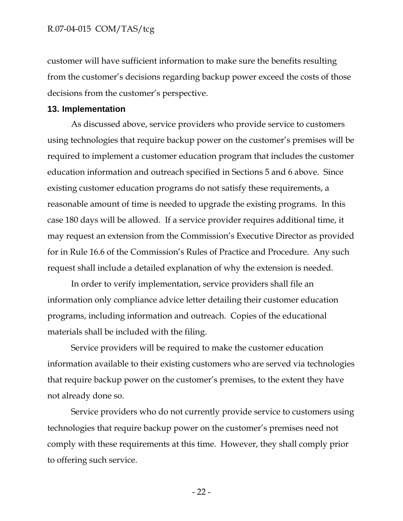customer will have sufficient information to make sure the benefits resulting from the customer's decisions regarding backup power exceed the costs of those decisions from the customer's perspective.

#### **13. Implementation**

As discussed above, service providers who provide service to customers using technologies that require backup power on the customer's premises will be required to implement a customer education program that includes the customer education information and outreach specified in Sections 5 and 6 above. Since existing customer education programs do not satisfy these requirements, a reasonable amount of time is needed to upgrade the existing programs. In this case 180 days will be allowed. If a service provider requires additional time, it may request an extension from the Commission's Executive Director as provided for in Rule 16.6 of the Commission's Rules of Practice and Procedure. Any such request shall include a detailed explanation of why the extension is needed.

In order to verify implementation, service providers shall file an information only compliance advice letter detailing their customer education programs, including information and outreach. Copies of the educational materials shall be included with the filing.

Service providers will be required to make the customer education information available to their existing customers who are served via technologies that require backup power on the customer's premises, to the extent they have not already done so.

Service providers who do not currently provide service to customers using technologies that require backup power on the customer's premises need not comply with these requirements at this time. However, they shall comply prior to offering such service.

- 22 -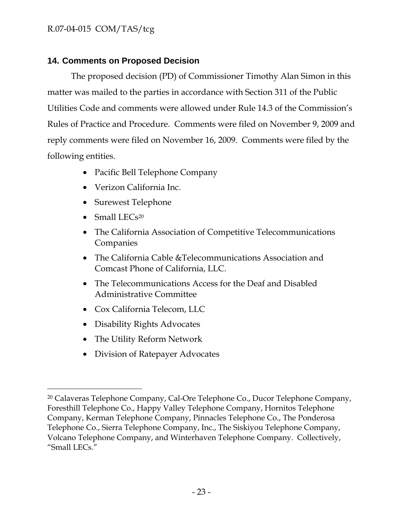## **14. Comments on Proposed Decision**

The proposed decision (PD) of Commissioner Timothy Alan Simon in this matter was mailed to the parties in accordance with Section 311 of the Public Utilities Code and comments were allowed under Rule 14.3 of the Commission's Rules of Practice and Procedure. Comments were filed on November 9, 2009 and reply comments were filed on November 16, 2009. Comments were filed by the following entities.

- Pacific Bell Telephone Company
- Verizon California Inc.
- Surewest Telephone
- Small LECs<sup>20</sup>

-

- The California Association of Competitive Telecommunications Companies
- The California Cable &Telecommunications Association and Comcast Phone of California, LLC.
- The Telecommunications Access for the Deaf and Disabled Administrative Committee
- Cox California Telecom, LLC
- Disability Rights Advocates
- The Utility Reform Network
- Division of Ratepayer Advocates

<sup>20</sup> Calaveras Telephone Company, Cal-Ore Telephone Co., Ducor Telephone Company, Foresthill Telephone Co., Happy Valley Telephone Company, Hornitos Telephone Company, Kerman Telephone Company, Pinnacles Telephone Co., The Ponderosa Telephone Co., Sierra Telephone Company, Inc., The Siskiyou Telephone Company, Volcano Telephone Company, and Winterhaven Telephone Company. Collectively, "Small LECs."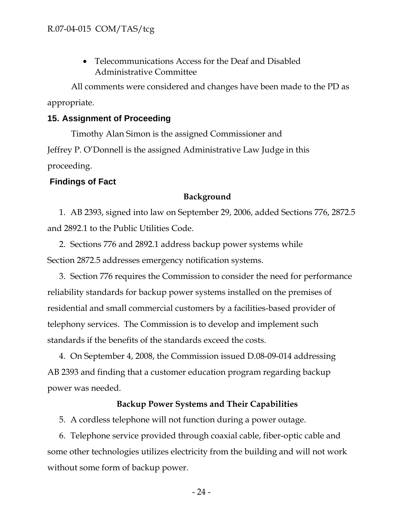• Telecommunications Access for the Deaf and Disabled Administrative Committee

All comments were considered and changes have been made to the PD as appropriate.

### **15. Assignment of Proceeding**

Timothy Alan Simon is the assigned Commissioner and Jeffrey P. O'Donnell is the assigned Administrative Law Judge in this proceeding.

### **Findings of Fact**

#### **Background**

1. AB 2393, signed into law on September 29, 2006, added Sections 776, 2872.5 and 2892.1 to the Public Utilities Code.

2. Sections 776 and 2892.1 address backup power systems while Section 2872.5 addresses emergency notification systems.

3. Section 776 requires the Commission to consider the need for performance reliability standards for backup power systems installed on the premises of residential and small commercial customers by a facilities-based provider of telephony services. The Commission is to develop and implement such standards if the benefits of the standards exceed the costs.

4. On September 4, 2008, the Commission issued D.08-09-014 addressing AB 2393 and finding that a customer education program regarding backup power was needed.

### **Backup Power Systems and Their Capabilities**

5. A cordless telephone will not function during a power outage.

6. Telephone service provided through coaxial cable, fiber-optic cable and some other technologies utilizes electricity from the building and will not work without some form of backup power.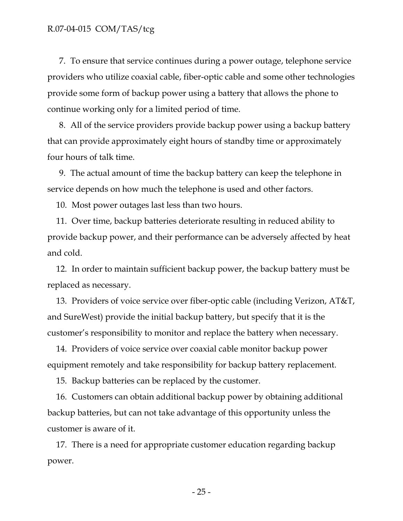7. To ensure that service continues during a power outage, telephone service providers who utilize coaxial cable, fiber-optic cable and some other technologies provide some form of backup power using a battery that allows the phone to continue working only for a limited period of time.

8. All of the service providers provide backup power using a backup battery that can provide approximately eight hours of standby time or approximately four hours of talk time.

9. The actual amount of time the backup battery can keep the telephone in service depends on how much the telephone is used and other factors.

10. Most power outages last less than two hours.

11. Over time, backup batteries deteriorate resulting in reduced ability to provide backup power, and their performance can be adversely affected by heat and cold.

12. In order to maintain sufficient backup power, the backup battery must be replaced as necessary.

13. Providers of voice service over fiber-optic cable (including Verizon, AT&T, and SureWest) provide the initial backup battery, but specify that it is the customer's responsibility to monitor and replace the battery when necessary.

14. Providers of voice service over coaxial cable monitor backup power equipment remotely and take responsibility for backup battery replacement.

15. Backup batteries can be replaced by the customer.

16. Customers can obtain additional backup power by obtaining additional backup batteries, but can not take advantage of this opportunity unless the customer is aware of it.

17. There is a need for appropriate customer education regarding backup power.

- 25 -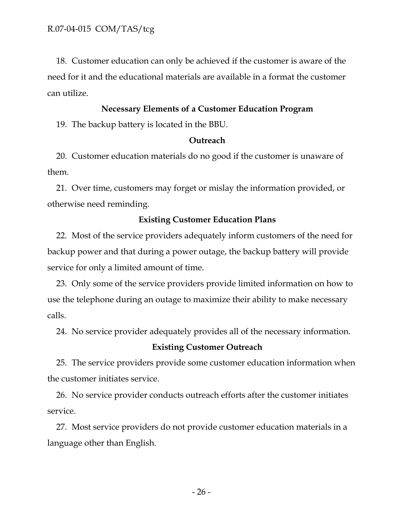18. Customer education can only be achieved if the customer is aware of the need for it and the educational materials are available in a format the customer can utilize.

### **Necessary Elements of a Customer Education Program**

19. The backup battery is located in the BBU.

### **Outreach**

20. Customer education materials do no good if the customer is unaware of them.

21. Over time, customers may forget or mislay the information provided, or otherwise need reminding.

### **Existing Customer Education Plans**

22. Most of the service providers adequately inform customers of the need for backup power and that during a power outage, the backup battery will provide service for only a limited amount of time.

23. Only some of the service providers provide limited information on how to use the telephone during an outage to maximize their ability to make necessary calls.

24. No service provider adequately provides all of the necessary information.

### **Existing Customer Outreach**

25. The service providers provide some customer education information when the customer initiates service.

26. No service provider conducts outreach efforts after the customer initiates service.

27. Most service providers do not provide customer education materials in a language other than English.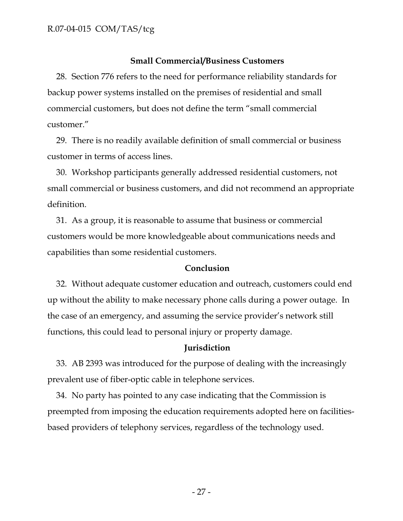### **Small Commercial/Business Customers**

28. Section 776 refers to the need for performance reliability standards for backup power systems installed on the premises of residential and small commercial customers, but does not define the term "small commercial customer."

29. There is no readily available definition of small commercial or business customer in terms of access lines.

30. Workshop participants generally addressed residential customers, not small commercial or business customers, and did not recommend an appropriate definition.

31. As a group, it is reasonable to assume that business or commercial customers would be more knowledgeable about communications needs and capabilities than some residential customers.

### **Conclusion**

32. Without adequate customer education and outreach, customers could end up without the ability to make necessary phone calls during a power outage. In the case of an emergency, and assuming the service provider's network still functions, this could lead to personal injury or property damage.

#### **Jurisdiction**

33. AB 2393 was introduced for the purpose of dealing with the increasingly prevalent use of fiber-optic cable in telephone services.

34. No party has pointed to any case indicating that the Commission is preempted from imposing the education requirements adopted here on facilitiesbased providers of telephony services, regardless of the technology used.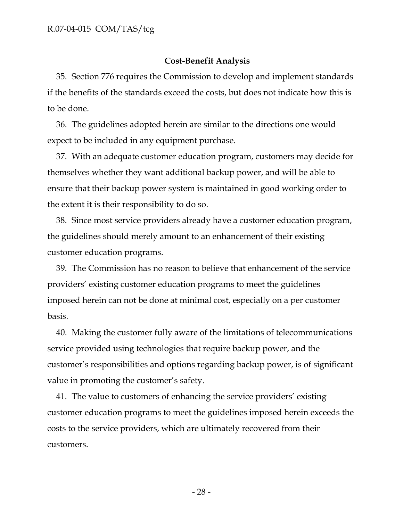### **Cost-Benefit Analysis**

35. Section 776 requires the Commission to develop and implement standards if the benefits of the standards exceed the costs, but does not indicate how this is to be done.

36. The guidelines adopted herein are similar to the directions one would expect to be included in any equipment purchase.

37. With an adequate customer education program, customers may decide for themselves whether they want additional backup power, and will be able to ensure that their backup power system is maintained in good working order to the extent it is their responsibility to do so.

38. Since most service providers already have a customer education program, the guidelines should merely amount to an enhancement of their existing customer education programs.

39. The Commission has no reason to believe that enhancement of the service providers' existing customer education programs to meet the guidelines imposed herein can not be done at minimal cost, especially on a per customer basis.

40. Making the customer fully aware of the limitations of telecommunications service provided using technologies that require backup power, and the customer's responsibilities and options regarding backup power, is of significant value in promoting the customer's safety.

41. The value to customers of enhancing the service providers' existing customer education programs to meet the guidelines imposed herein exceeds the costs to the service providers, which are ultimately recovered from their customers.

- 28 -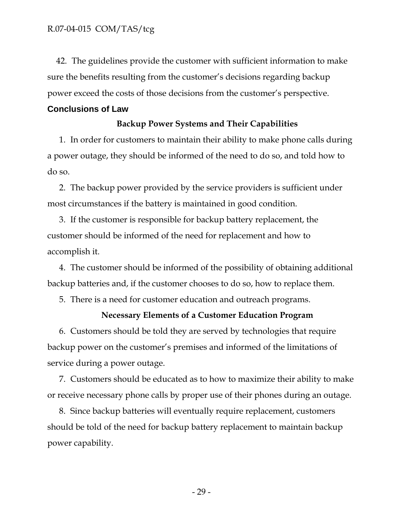42. The guidelines provide the customer with sufficient information to make sure the benefits resulting from the customer's decisions regarding backup power exceed the costs of those decisions from the customer's perspective.

### **Conclusions of Law**

### **Backup Power Systems and Their Capabilities**

1. In order for customers to maintain their ability to make phone calls during a power outage, they should be informed of the need to do so, and told how to do so.

2. The backup power provided by the service providers is sufficient under most circumstances if the battery is maintained in good condition.

3. If the customer is responsible for backup battery replacement, the customer should be informed of the need for replacement and how to accomplish it.

4. The customer should be informed of the possibility of obtaining additional backup batteries and, if the customer chooses to do so, how to replace them.

5. There is a need for customer education and outreach programs.

### **Necessary Elements of a Customer Education Program**

6. Customers should be told they are served by technologies that require backup power on the customer's premises and informed of the limitations of service during a power outage.

7. Customers should be educated as to how to maximize their ability to make or receive necessary phone calls by proper use of their phones during an outage.

8. Since backup batteries will eventually require replacement, customers should be told of the need for backup battery replacement to maintain backup power capability.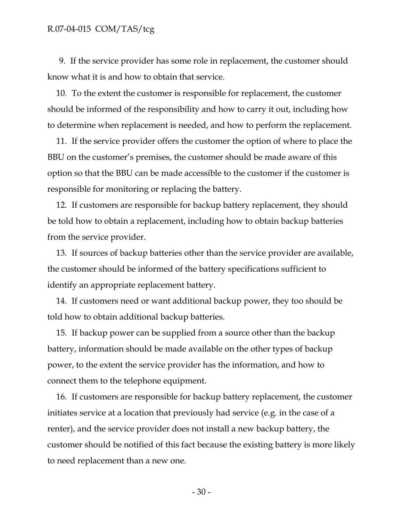9. If the service provider has some role in replacement, the customer should know what it is and how to obtain that service.

10. To the extent the customer is responsible for replacement, the customer should be informed of the responsibility and how to carry it out, including how to determine when replacement is needed, and how to perform the replacement.

11. If the service provider offers the customer the option of where to place the BBU on the customer's premises, the customer should be made aware of this option so that the BBU can be made accessible to the customer if the customer is responsible for monitoring or replacing the battery.

12. If customers are responsible for backup battery replacement, they should be told how to obtain a replacement, including how to obtain backup batteries from the service provider.

13. If sources of backup batteries other than the service provider are available, the customer should be informed of the battery specifications sufficient to identify an appropriate replacement battery.

14. If customers need or want additional backup power, they too should be told how to obtain additional backup batteries.

15. If backup power can be supplied from a source other than the backup battery, information should be made available on the other types of backup power, to the extent the service provider has the information, and how to connect them to the telephone equipment.

16. If customers are responsible for backup battery replacement, the customer initiates service at a location that previously had service (e.g. in the case of a renter), and the service provider does not install a new backup battery, the customer should be notified of this fact because the existing battery is more likely to need replacement than a new one.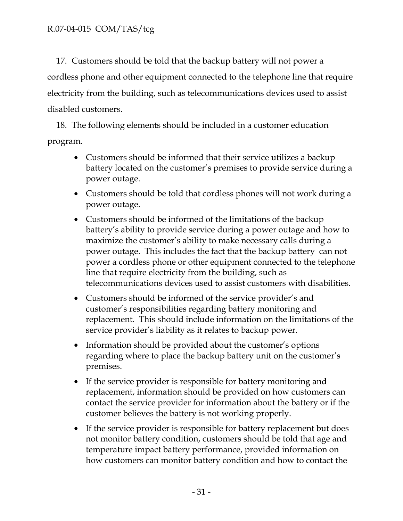17. Customers should be told that the backup battery will not power a cordless phone and other equipment connected to the telephone line that require electricity from the building, such as telecommunications devices used to assist disabled customers.

18. The following elements should be included in a customer education program.

- Customers should be informed that their service utilizes a backup battery located on the customer's premises to provide service during a power outage.
- Customers should be told that cordless phones will not work during a power outage.
- Customers should be informed of the limitations of the backup battery's ability to provide service during a power outage and how to maximize the customer's ability to make necessary calls during a power outage. This includes the fact that the backup battery can not power a cordless phone or other equipment connected to the telephone line that require electricity from the building, such as telecommunications devices used to assist customers with disabilities.
- Customers should be informed of the service provider's and customer's responsibilities regarding battery monitoring and replacement. This should include information on the limitations of the service provider's liability as it relates to backup power.
- Information should be provided about the customer's options regarding where to place the backup battery unit on the customer's premises.
- If the service provider is responsible for battery monitoring and replacement, information should be provided on how customers can contact the service provider for information about the battery or if the customer believes the battery is not working properly.
- If the service provider is responsible for battery replacement but does not monitor battery condition, customers should be told that age and temperature impact battery performance, provided information on how customers can monitor battery condition and how to contact the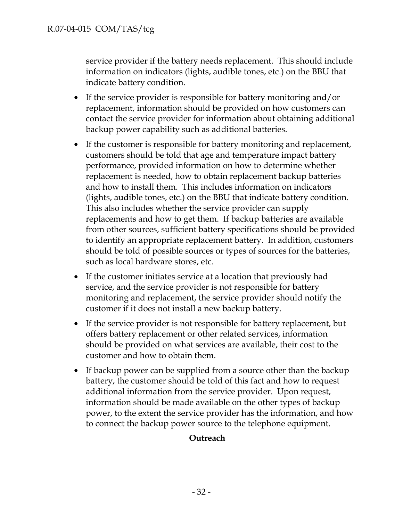service provider if the battery needs replacement. This should include information on indicators (lights, audible tones, etc.) on the BBU that indicate battery condition.

- If the service provider is responsible for battery monitoring and/or replacement, information should be provided on how customers can contact the service provider for information about obtaining additional backup power capability such as additional batteries.
- If the customer is responsible for battery monitoring and replacement, customers should be told that age and temperature impact battery performance, provided information on how to determine whether replacement is needed, how to obtain replacement backup batteries and how to install them. This includes information on indicators (lights, audible tones, etc.) on the BBU that indicate battery condition. This also includes whether the service provider can supply replacements and how to get them. If backup batteries are available from other sources, sufficient battery specifications should be provided to identify an appropriate replacement battery. In addition, customers should be told of possible sources or types of sources for the batteries, such as local hardware stores, etc.
- If the customer initiates service at a location that previously had service, and the service provider is not responsible for battery monitoring and replacement, the service provider should notify the customer if it does not install a new backup battery.
- If the service provider is not responsible for battery replacement, but offers battery replacement or other related services, information should be provided on what services are available, their cost to the customer and how to obtain them.
- If backup power can be supplied from a source other than the backup battery, the customer should be told of this fact and how to request additional information from the service provider. Upon request, information should be made available on the other types of backup power, to the extent the service provider has the information, and how to connect the backup power source to the telephone equipment.

## **Outreach**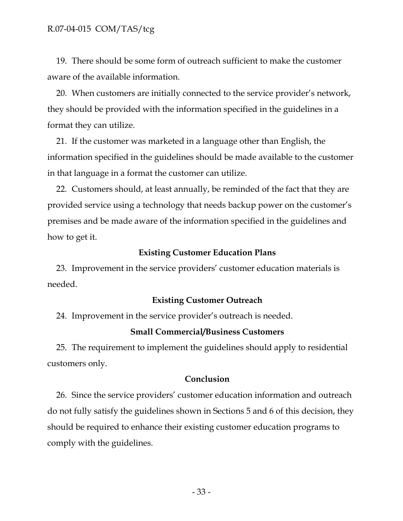19. There should be some form of outreach sufficient to make the customer aware of the available information.

20. When customers are initially connected to the service provider's network, they should be provided with the information specified in the guidelines in a format they can utilize.

21. If the customer was marketed in a language other than English, the information specified in the guidelines should be made available to the customer in that language in a format the customer can utilize.

22. Customers should, at least annually, be reminded of the fact that they are provided service using a technology that needs backup power on the customer's premises and be made aware of the information specified in the guidelines and how to get it.

### **Existing Customer Education Plans**

23. Improvement in the service providers' customer education materials is needed.

### **Existing Customer Outreach**

24. Improvement in the service provider's outreach is needed.

#### **Small Commercial/Business Customers**

25. The requirement to implement the guidelines should apply to residential customers only.

#### **Conclusion**

26. Since the service providers' customer education information and outreach do not fully satisfy the guidelines shown in Sections 5 and 6 of this decision, they should be required to enhance their existing customer education programs to comply with the guidelines.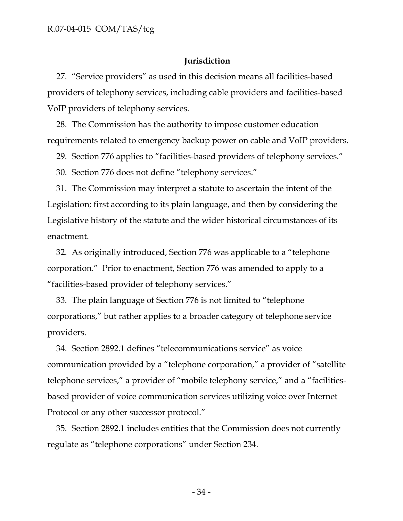### **Jurisdiction**

27. "Service providers" as used in this decision means all facilities-based providers of telephony services, including cable providers and facilities-based VoIP providers of telephony services.

28. The Commission has the authority to impose customer education requirements related to emergency backup power on cable and VoIP providers.

29. Section 776 applies to "facilities-based providers of telephony services."

30. Section 776 does not define "telephony services."

31. The Commission may interpret a statute to ascertain the intent of the Legislation; first according to its plain language, and then by considering the Legislative history of the statute and the wider historical circumstances of its enactment.

32. As originally introduced, Section 776 was applicable to a "telephone corporation." Prior to enactment, Section 776 was amended to apply to a "facilities-based provider of telephony services."

33. The plain language of Section 776 is not limited to "telephone corporations," but rather applies to a broader category of telephone service providers.

34. Section 2892.1 defines "telecommunications service" as voice communication provided by a "telephone corporation," a provider of "satellite telephone services," a provider of "mobile telephony service," and a "facilitiesbased provider of voice communication services utilizing voice over Internet Protocol or any other successor protocol."

35. Section 2892.1 includes entities that the Commission does not currently regulate as "telephone corporations" under Section 234.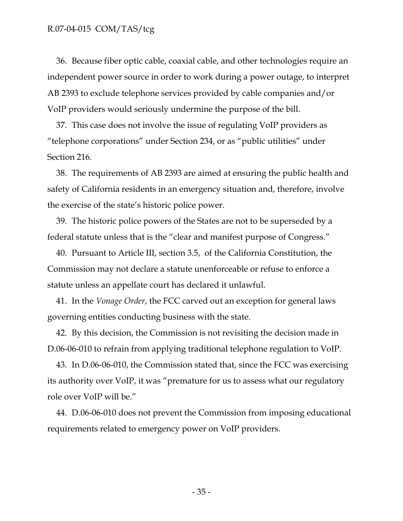36. Because fiber optic cable, coaxial cable, and other technologies require an independent power source in order to work during a power outage, to interpret AB 2393 to exclude telephone services provided by cable companies and/or VoIP providers would seriously undermine the purpose of the bill.

37. This case does not involve the issue of regulating VoIP providers as "telephone corporations" under Section 234, or as "public utilities" under Section 216.

38. The requirements of AB 2393 are aimed at ensuring the public health and safety of California residents in an emergency situation and, therefore, involve the exercise of the state's historic police power.

39. The historic police powers of the States are not to be superseded by a federal statute unless that is the "clear and manifest purpose of Congress."

40. Pursuant to Article III, section 3.5, of the California Constitution, the Commission may not declare a statute unenforceable or refuse to enforce a statute unless an appellate court has declared it unlawful.

41. In the *Vonage Order*, the FCC carved out an exception for general laws governing entities conducting business with the state.

42. By this decision, the Commission is not revisiting the decision made in D.06-06-010 to refrain from applying traditional telephone regulation to VoIP.

43. In D.06-06-010, the Commission stated that, since the FCC was exercising its authority over VoIP, it was "premature for us to assess what our regulatory role over VoIP will be."

44. D.06-06-010 does not prevent the Commission from imposing educational requirements related to emergency power on VoIP providers.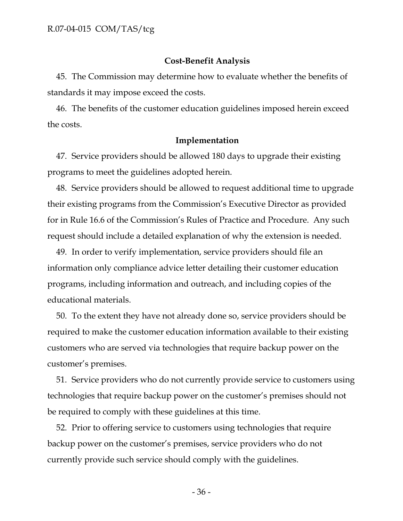### **Cost-Benefit Analysis**

45. The Commission may determine how to evaluate whether the benefits of standards it may impose exceed the costs.

46. The benefits of the customer education guidelines imposed herein exceed the costs.

#### **Implementation**

47. Service providers should be allowed 180 days to upgrade their existing programs to meet the guidelines adopted herein.

48. Service providers should be allowed to request additional time to upgrade their existing programs from the Commission's Executive Director as provided for in Rule 16.6 of the Commission's Rules of Practice and Procedure. Any such request should include a detailed explanation of why the extension is needed.

49. In order to verify implementation, service providers should file an information only compliance advice letter detailing their customer education programs, including information and outreach, and including copies of the educational materials.

50. To the extent they have not already done so, service providers should be required to make the customer education information available to their existing customers who are served via technologies that require backup power on the customer's premises.

51. Service providers who do not currently provide service to customers using technologies that require backup power on the customer's premises should not be required to comply with these guidelines at this time.

52. Prior to offering service to customers using technologies that require backup power on the customer's premises, service providers who do not currently provide such service should comply with the guidelines.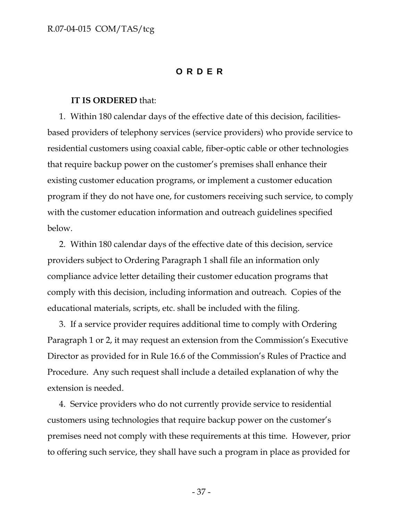### **ORDER**

#### **IT IS ORDERED** that:

1. Within 180 calendar days of the effective date of this decision, facilitiesbased providers of telephony services (service providers) who provide service to residential customers using coaxial cable, fiber-optic cable or other technologies that require backup power on the customer's premises shall enhance their existing customer education programs, or implement a customer education program if they do not have one, for customers receiving such service, to comply with the customer education information and outreach guidelines specified below.

2. Within 180 calendar days of the effective date of this decision, service providers subject to Ordering Paragraph 1 shall file an information only compliance advice letter detailing their customer education programs that comply with this decision, including information and outreach. Copies of the educational materials, scripts, etc. shall be included with the filing.

3. If a service provider requires additional time to comply with Ordering Paragraph 1 or 2, it may request an extension from the Commission's Executive Director as provided for in Rule 16.6 of the Commission's Rules of Practice and Procedure. Any such request shall include a detailed explanation of why the extension is needed.

4. Service providers who do not currently provide service to residential customers using technologies that require backup power on the customer's premises need not comply with these requirements at this time. However, prior to offering such service, they shall have such a program in place as provided for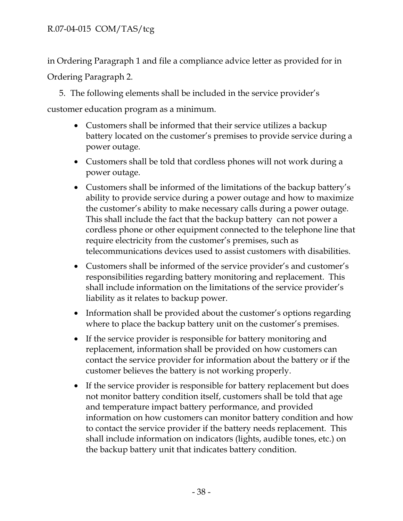in Ordering Paragraph 1 and file a compliance advice letter as provided for in Ordering Paragraph 2.

5. The following elements shall be included in the service provider's

customer education program as a minimum.

- Customers shall be informed that their service utilizes a backup battery located on the customer's premises to provide service during a power outage.
- Customers shall be told that cordless phones will not work during a power outage.
- Customers shall be informed of the limitations of the backup battery's ability to provide service during a power outage and how to maximize the customer's ability to make necessary calls during a power outage. This shall include the fact that the backup battery can not power a cordless phone or other equipment connected to the telephone line that require electricity from the customer's premises, such as telecommunications devices used to assist customers with disabilities.
- Customers shall be informed of the service provider's and customer's responsibilities regarding battery monitoring and replacement. This shall include information on the limitations of the service provider's liability as it relates to backup power.
- Information shall be provided about the customer's options regarding where to place the backup battery unit on the customer's premises.
- If the service provider is responsible for battery monitoring and replacement, information shall be provided on how customers can contact the service provider for information about the battery or if the customer believes the battery is not working properly.
- If the service provider is responsible for battery replacement but does not monitor battery condition itself, customers shall be told that age and temperature impact battery performance, and provided information on how customers can monitor battery condition and how to contact the service provider if the battery needs replacement. This shall include information on indicators (lights, audible tones, etc.) on the backup battery unit that indicates battery condition.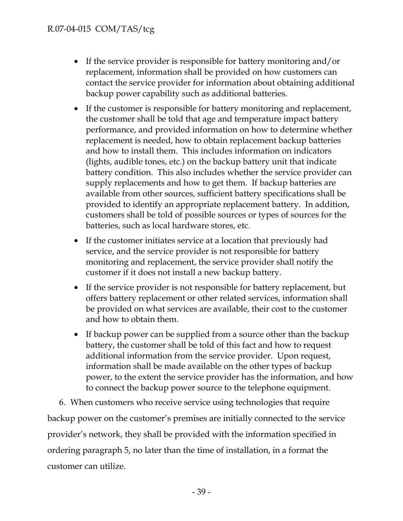- If the service provider is responsible for battery monitoring and/or replacement, information shall be provided on how customers can contact the service provider for information about obtaining additional backup power capability such as additional batteries.
- If the customer is responsible for battery monitoring and replacement, the customer shall be told that age and temperature impact battery performance, and provided information on how to determine whether replacement is needed, how to obtain replacement backup batteries and how to install them. This includes information on indicators (lights, audible tones, etc.) on the backup battery unit that indicate battery condition. This also includes whether the service provider can supply replacements and how to get them. If backup batteries are available from other sources, sufficient battery specifications shall be provided to identify an appropriate replacement battery. In addition, customers shall be told of possible sources or types of sources for the batteries, such as local hardware stores, etc.
- If the customer initiates service at a location that previously had service, and the service provider is not responsible for battery monitoring and replacement, the service provider shall notify the customer if it does not install a new backup battery.
- If the service provider is not responsible for battery replacement, but offers battery replacement or other related services, information shall be provided on what services are available, their cost to the customer and how to obtain them.
- If backup power can be supplied from a source other than the backup battery, the customer shall be told of this fact and how to request additional information from the service provider. Upon request, information shall be made available on the other types of backup power, to the extent the service provider has the information, and how to connect the backup power source to the telephone equipment.

6. When customers who receive service using technologies that require backup power on the customer's premises are initially connected to the service provider's network, they shall be provided with the information specified in ordering paragraph 5, no later than the time of installation, in a format the customer can utilize.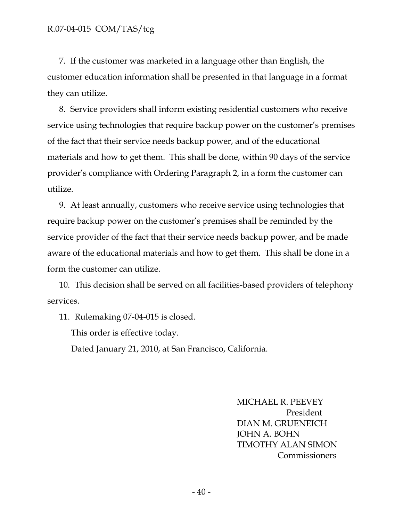7. If the customer was marketed in a language other than English, the customer education information shall be presented in that language in a format they can utilize.

8. Service providers shall inform existing residential customers who receive service using technologies that require backup power on the customer's premises of the fact that their service needs backup power, and of the educational materials and how to get them. This shall be done, within 90 days of the service provider's compliance with Ordering Paragraph 2, in a form the customer can utilize.

9. At least annually, customers who receive service using technologies that require backup power on the customer's premises shall be reminded by the service provider of the fact that their service needs backup power, and be made aware of the educational materials and how to get them. This shall be done in a form the customer can utilize.

10. This decision shall be served on all facilities-based providers of telephony services.

11. Rulemaking 07-04-015 is closed.

This order is effective today.

Dated January 21, 2010, at San Francisco, California.

 MICHAEL R. PEEVEY President DIAN M. GRUENEICH JOHN A. BOHN TIMOTHY ALAN SIMON **Commissioners**